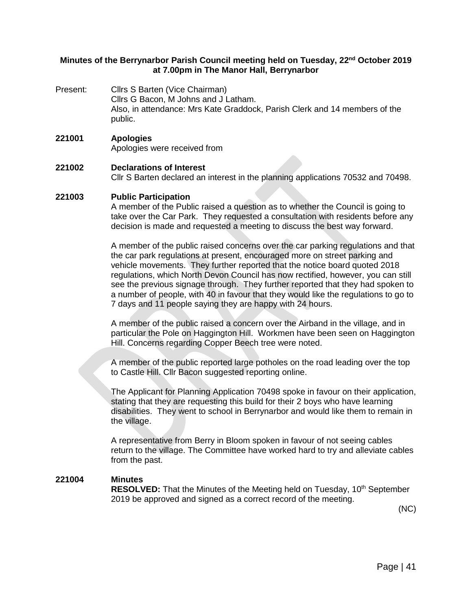## **Minutes of the Berrynarbor Parish Council meeting held on Tuesday, 22nd October 2019 at 7.00pm in The Manor Hall, Berrynarbor**

Present: Cllrs S Barten (Vice Chairman) Cllrs G Bacon, M Johns and J Latham. Also, in attendance: Mrs Kate Graddock, Parish Clerk and 14 members of the public.

#### **221001 Apologies** Apologies were received from

# **221002 Declarations of Interest** Cllr S Barten declared an interest in the planning applications 70532 and 70498.

## **221003 Public Participation**

A member of the Public raised a question as to whether the Council is going to take over the Car Park. They requested a consultation with residents before any decision is made and requested a meeting to discuss the best way forward.

A member of the public raised concerns over the car parking regulations and that the car park regulations at present, encouraged more on street parking and vehicle movements. They further reported that the notice board quoted 2018 regulations, which North Devon Council has now rectified, however, you can still see the previous signage through. They further reported that they had spoken to a number of people, with 40 in favour that they would like the regulations to go to 7 days and 11 people saying they are happy with 24 hours.

A member of the public raised a concern over the Airband in the village, and in particular the Pole on Haggington Hill. Workmen have been seen on Haggington Hill. Concerns regarding Copper Beech tree were noted.

A member of the public reported large potholes on the road leading over the top to Castle Hill. Cllr Bacon suggested reporting online.

The Applicant for Planning Application 70498 spoke in favour on their application, stating that they are requesting this build for their 2 boys who have learning disabilities. They went to school in Berrynarbor and would like them to remain in the village.

A representative from Berry in Bloom spoken in favour of not seeing cables return to the village. The Committee have worked hard to try and alleviate cables from the past.

#### **221004 Minutes**

**RESOLVED:** That the Minutes of the Meeting held on Tuesday, 10<sup>th</sup> September 2019 be approved and signed as a correct record of the meeting.

(NC)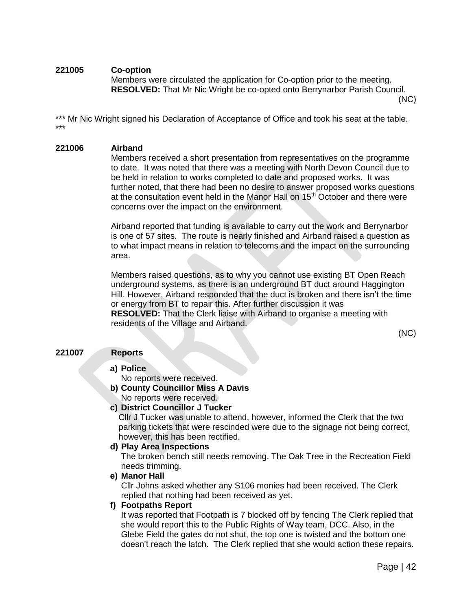## **221005 Co-option**

Members were circulated the application for Co-option prior to the meeting. **RESOLVED:** That Mr Nic Wright be co-opted onto Berrynarbor Parish Council.

(NC)

\*\*\* Mr Nic Wright signed his Declaration of Acceptance of Office and took his seat at the table. \*\*\*

#### **221006 Airband**

Members received a short presentation from representatives on the programme to date. It was noted that there was a meeting with North Devon Council due to be held in relation to works completed to date and proposed works. It was further noted, that there had been no desire to answer proposed works questions at the consultation event held in the Manor Hall on  $15<sup>th</sup>$  October and there were concerns over the impact on the environment.

Airband reported that funding is available to carry out the work and Berrynarbor is one of 57 sites. The route is nearly finished and Airband raised a question as to what impact means in relation to telecoms and the impact on the surrounding area.

Members raised questions, as to why you cannot use existing BT Open Reach underground systems, as there is an underground BT duct around Haggington Hill. However, Airband responded that the duct is broken and there isn't the time or energy from BT to repair this. After further discussion it was **RESOLVED:** That the Clerk liaise with Airband to organise a meeting with residents of the Village and Airband.

(NC)

## **221007 Reports**

## **a) Police**

- No reports were received.
- **b) County Councillor Miss A Davis** No reports were received.

## **c) District Councillor J Tucker**

Cllr J Tucker was unable to attend, however, informed the Clerk that the two parking tickets that were rescinded were due to the signage not being correct, however, this has been rectified.

#### **d) Play Area Inspections**

The broken bench still needs removing. The Oak Tree in the Recreation Field needs trimming.

#### **e) Manor Hall**

Cllr Johns asked whether any S106 monies had been received. The Clerk replied that nothing had been received as yet.

## **f) Footpaths Report**

It was reported that Footpath is 7 blocked off by fencing The Clerk replied that she would report this to the Public Rights of Way team, DCC. Also, in the Glebe Field the gates do not shut, the top one is twisted and the bottom one doesn't reach the latch. The Clerk replied that she would action these repairs.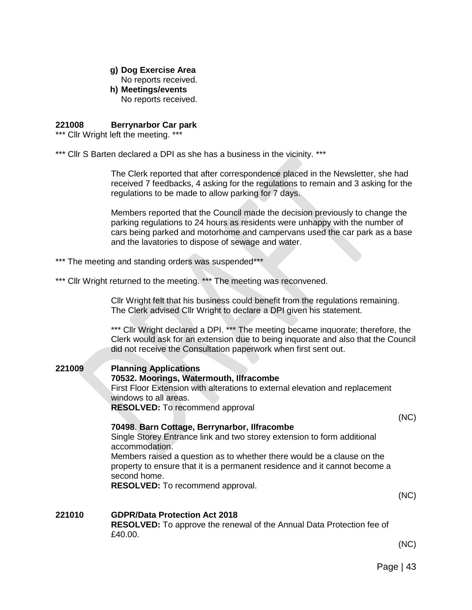## **g) Dog Exercise Area**

No reports received.

**h) Meetings/events** 

No reports received.

#### **221008 Berrynarbor Car park**

\*\*\* Cllr Wright left the meeting. \*\*\*

\*\*\* Cllr S Barten declared a DPI as she has a business in the vicinity. \*\*\*

The Clerk reported that after correspondence placed in the Newsletter, she had received 7 feedbacks, 4 asking for the regulations to remain and 3 asking for the regulations to be made to allow parking for 7 days.

Members reported that the Council made the decision previously to change the parking regulations to 24 hours as residents were unhappy with the number of cars being parked and motorhome and campervans used the car park as a base and the lavatories to dispose of sewage and water.

\*\*\* The meeting and standing orders was suspended\*\*\*

\*\*\* Cllr Wright returned to the meeting. \*\*\* The meeting was reconvened.

Cllr Wright felt that his business could benefit from the regulations remaining. The Clerk advised Cllr Wright to declare a DPI given his statement.

\*\*\* Cllr Wright declared a DPI. \*\*\* The meeting became inquorate; therefore, the Clerk would ask for an extension due to being inquorate and also that the Council did not receive the Consultation paperwork when first sent out.

**221009 Planning Applications 70532. Moorings, Watermouth, Ilfracombe** First Floor Extension with alterations to external elevation and replacement windows to all areas. **RESOLVED:** To recommend approval

#### **70498**. **Barn Cottage, Berrynarbor, Ilfracombe**

(NC)

Single Storey Entrance link and two storey extension to form additional accommodation. Members raised a question as to whether there would be a clause on the

property to ensure that it is a permanent residence and it cannot become a second home.

**RESOLVED:** To recommend approval.

(NC)

#### **221010 GDPR/Data Protection Act 2018 RESOLVED:** To approve the renewal of the Annual Data Protection fee of £40.00.

(NC)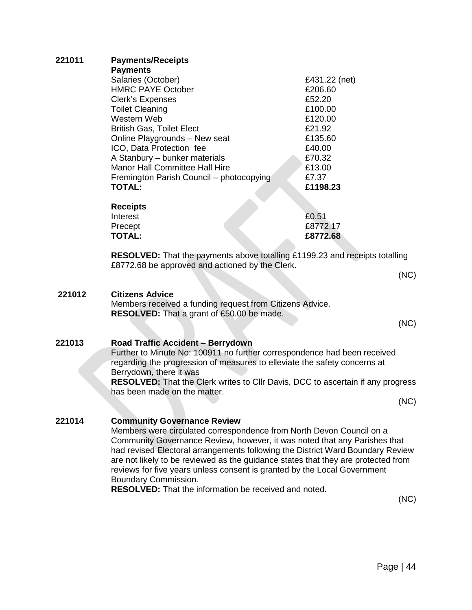| 221011 | <b>Payments/Receipts</b><br><b>Payments</b>                                                                                                                                                                                                                                |               |
|--------|----------------------------------------------------------------------------------------------------------------------------------------------------------------------------------------------------------------------------------------------------------------------------|---------------|
|        | Salaries (October)                                                                                                                                                                                                                                                         | £431.22 (net) |
|        | <b>HMRC PAYE October</b>                                                                                                                                                                                                                                                   | £206.60       |
|        | <b>Clerk's Expenses</b>                                                                                                                                                                                                                                                    | £52.20        |
|        | <b>Toilet Cleaning</b>                                                                                                                                                                                                                                                     | £100.00       |
|        | Western Web                                                                                                                                                                                                                                                                | £120.00       |
|        | <b>British Gas, Toilet Elect</b>                                                                                                                                                                                                                                           | £21.92        |
|        | Online Playgrounds - New seat                                                                                                                                                                                                                                              | £135.60       |
|        | ICO, Data Protection fee                                                                                                                                                                                                                                                   | £40.00        |
|        | A Stanbury - bunker materials                                                                                                                                                                                                                                              | £70.32        |
|        | <b>Manor Hall Committee Hall Hire</b>                                                                                                                                                                                                                                      | £13.00        |
|        | Fremington Parish Council - photocopying                                                                                                                                                                                                                                   | £7.37         |
|        | <b>TOTAL:</b>                                                                                                                                                                                                                                                              | £1198.23      |
|        | <b>Receipts</b>                                                                                                                                                                                                                                                            |               |
|        | Interest                                                                                                                                                                                                                                                                   | £0.51         |
|        | Precept                                                                                                                                                                                                                                                                    | £8772.17      |
|        | <b>TOTAL:</b>                                                                                                                                                                                                                                                              | £8772.68      |
|        | RESOLVED: That the payments above totalling £1199.23 and receipts totalling<br>£8772.68 be approved and actioned by the Clerk.                                                                                                                                             |               |
|        |                                                                                                                                                                                                                                                                            | (NC)          |
|        |                                                                                                                                                                                                                                                                            |               |
| 221012 | <b>Citizens Advice</b>                                                                                                                                                                                                                                                     |               |
|        | Members received a funding request from Citizens Advice.                                                                                                                                                                                                                   |               |
|        | <b>RESOLVED:</b> That a grant of £50.00 be made.                                                                                                                                                                                                                           |               |
|        |                                                                                                                                                                                                                                                                            | (NC)          |
|        |                                                                                                                                                                                                                                                                            |               |
| 221013 | Road Traffic Accident - Berrydown                                                                                                                                                                                                                                          |               |
|        | Further to Minute No: 100911 no further correspondence had been received<br>regarding the progression of measures to elleviate the safety concerns at<br>Berrydown, there it was<br><b>RESOLVED:</b> That the Clerk writes to Cllr Davis, DCC to ascertain if any progress |               |
|        |                                                                                                                                                                                                                                                                            |               |
|        |                                                                                                                                                                                                                                                                            |               |
|        |                                                                                                                                                                                                                                                                            |               |
|        | has been made on the matter.                                                                                                                                                                                                                                               |               |
|        |                                                                                                                                                                                                                                                                            | (NC)          |
| 221014 | <b>Community Governance Review</b>                                                                                                                                                                                                                                         |               |
|        |                                                                                                                                                                                                                                                                            |               |
|        | Members were circulated correspondence from North Devon Council on a<br>Community Governance Review, however, it was noted that any Parishes that                                                                                                                          |               |
|        |                                                                                                                                                                                                                                                                            |               |
|        | had revised Electoral arrangements following the District Ward Boundary Review<br>are not likely to be reviewed as the guidance states that they are protected from                                                                                                        |               |
|        | reviews for five years unless consent is granted by the Local Government                                                                                                                                                                                                   |               |
|        | Boundary Commission.                                                                                                                                                                                                                                                       |               |
|        | <b>RESOLVED:</b> That the information be received and noted.                                                                                                                                                                                                               |               |
|        |                                                                                                                                                                                                                                                                            | $\sim$        |

(NC)